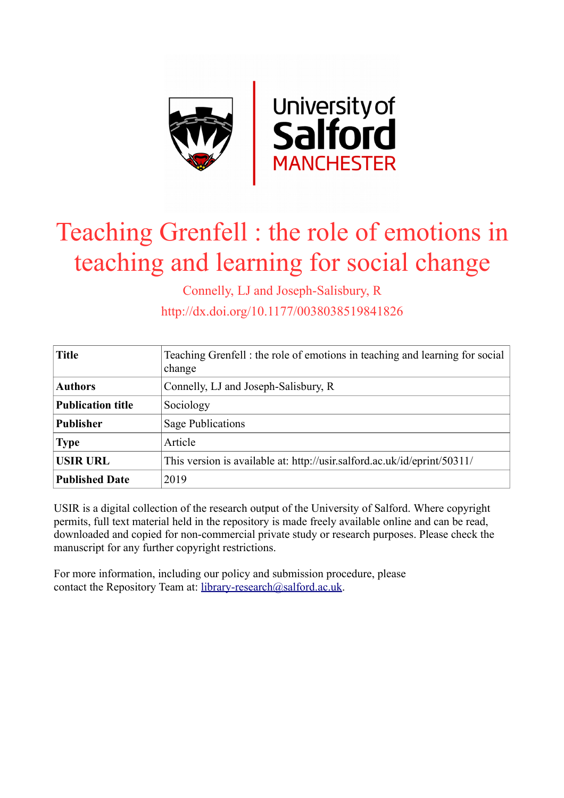

# Teaching Grenfell : the role of emotions in teaching and learning for social change

Connelly, LJ and Joseph-Salisbury, R

http://dx.doi.org/10.1177/0038038519841826

| <b>Title</b>             | Teaching Grenfell : the role of emotions in teaching and learning for social<br>change |
|--------------------------|----------------------------------------------------------------------------------------|
| <b>Authors</b>           | Connelly, LJ and Joseph-Salisbury, R                                                   |
| <b>Publication title</b> | Sociology                                                                              |
| <b>Publisher</b>         | <b>Sage Publications</b>                                                               |
| <b>Type</b>              | Article                                                                                |
| <b>USIR URL</b>          | This version is available at: http://usir.salford.ac.uk/id/eprint/50311/               |
| <b>Published Date</b>    | 2019                                                                                   |

USIR is a digital collection of the research output of the University of Salford. Where copyright permits, full text material held in the repository is made freely available online and can be read, downloaded and copied for non-commercial private study or research purposes. Please check the manuscript for any further copyright restrictions.

For more information, including our policy and submission procedure, please contact the Repository Team at: [library-research@salford.ac.uk.](mailto:library-research@salford.ac.uk)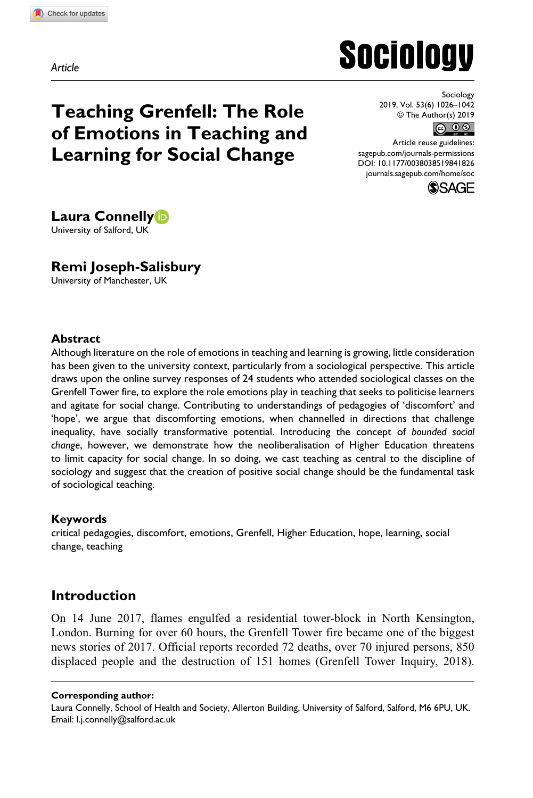*Article*

# **Teaching Grenfell: The Role of Emotions in Teaching and Learning for Social Change**



2019, Vol. 53(6) 1026–1042 © The Author(s) 2019

 $\circledcirc$   $\circledcirc$ 

https://doi.org/10.1177/0038038519841826 DOI: 10.1177/0038038519841826 Article reuse guidelines: [sagepub.com/journals-permissions](https://uk.sagepub.com/en-gb/journals-permissions) [journals.sagepub.com/home/soc](https://journals.sagepub.com/home/soc)





**Remi Joseph-Salisbury**

University of Manchester, UK

#### **Abstract**

Although literature on the role of emotions in teaching and learning is growing, little consideration has been given to the university context, particularly from a sociological perspective. This article draws upon the online survey responses of 24 students who attended sociological classes on the Grenfell Tower fire, to explore the role emotions play in teaching that seeks to politicise learners and agitate for social change. Contributing to understandings of pedagogies of 'discomfort' and 'hope', we argue that discomforting emotions, when channelled in directions that challenge inequality, have socially transformative potential. Introducing the concept of *bounded social change*, however, we demonstrate how the neoliberalisation of Higher Education threatens to limit capacity for social change. In so doing, we cast teaching as central to the discipline of sociology and suggest that the creation of positive social change should be the fundamental task of sociological teaching.

#### **Keywords**

critical pedagogies, discomfort, emotions, Grenfell, Higher Education, hope, learning, social change, teaching

## **Introduction**

On 14 June 2017, flames engulfed a residential tower-block in North Kensington, London. Burning for over 60 hours, the Grenfell Tower fire became one of the biggest news stories of 2017. Official reports recorded 72 deaths, over 70 injured persons, 850 displaced people and the destruction of 151 homes (Grenfell Tower Inquiry, 2018).

**Corresponding author:**

Laura Connelly, School of Health and Society, Allerton Building, University of Salford, Salford, M6 6PU, UK. Email: [l.j.connelly@salford.ac.uk](mailto:l.j.connelly@salford.ac.uk)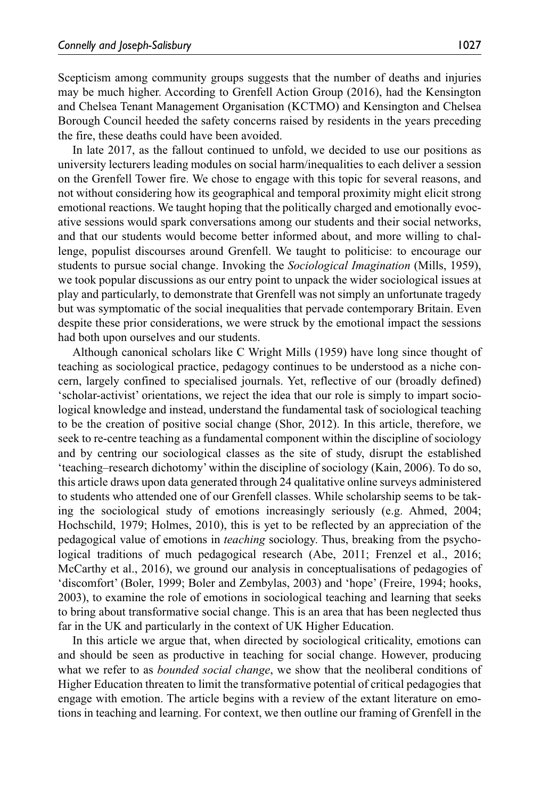Scepticism among community groups suggests that the number of deaths and injuries may be much higher. According to Grenfell Action Group (2016), had the Kensington and Chelsea Tenant Management Organisation (KCTMO) and Kensington and Chelsea Borough Council heeded the safety concerns raised by residents in the years preceding the fire, these deaths could have been avoided.

In late 2017, as the fallout continued to unfold, we decided to use our positions as university lecturers leading modules on social harm/inequalities to each deliver a session on the Grenfell Tower fire. We chose to engage with this topic for several reasons, and not without considering how its geographical and temporal proximity might elicit strong emotional reactions. We taught hoping that the politically charged and emotionally evocative sessions would spark conversations among our students and their social networks, and that our students would become better informed about, and more willing to challenge, populist discourses around Grenfell. We taught to politicise: to encourage our students to pursue social change. Invoking the *Sociological Imagination* (Mills, 1959), we took popular discussions as our entry point to unpack the wider sociological issues at play and particularly, to demonstrate that Grenfell was not simply an unfortunate tragedy but was symptomatic of the social inequalities that pervade contemporary Britain. Even despite these prior considerations, we were struck by the emotional impact the sessions had both upon ourselves and our students.

Although canonical scholars like C Wright Mills (1959) have long since thought of teaching as sociological practice, pedagogy continues to be understood as a niche concern, largely confined to specialised journals. Yet, reflective of our (broadly defined) 'scholar-activist' orientations, we reject the idea that our role is simply to impart sociological knowledge and instead, understand the fundamental task of sociological teaching to be the creation of positive social change (Shor, 2012). In this article, therefore, we seek to re-centre teaching as a fundamental component within the discipline of sociology and by centring our sociological classes as the site of study, disrupt the established 'teaching–research dichotomy' within the discipline of sociology (Kain, 2006). To do so, this article draws upon data generated through 24 qualitative online surveys administered to students who attended one of our Grenfell classes. While scholarship seems to be taking the sociological study of emotions increasingly seriously (e.g. Ahmed, 2004; Hochschild, 1979; Holmes, 2010), this is yet to be reflected by an appreciation of the pedagogical value of emotions in *teaching* sociology. Thus, breaking from the psychological traditions of much pedagogical research (Abe, 2011; Frenzel et al., 2016; McCarthy et al., 2016), we ground our analysis in conceptualisations of pedagogies of 'discomfort' (Boler, 1999; Boler and Zembylas, 2003) and 'hope' (Freire, 1994; hooks, 2003), to examine the role of emotions in sociological teaching and learning that seeks to bring about transformative social change. This is an area that has been neglected thus far in the UK and particularly in the context of UK Higher Education.

In this article we argue that, when directed by sociological criticality, emotions can and should be seen as productive in teaching for social change. However, producing what we refer to as *bounded social change*, we show that the neoliberal conditions of Higher Education threaten to limit the transformative potential of critical pedagogies that engage with emotion. The article begins with a review of the extant literature on emotions in teaching and learning. For context, we then outline our framing of Grenfell in the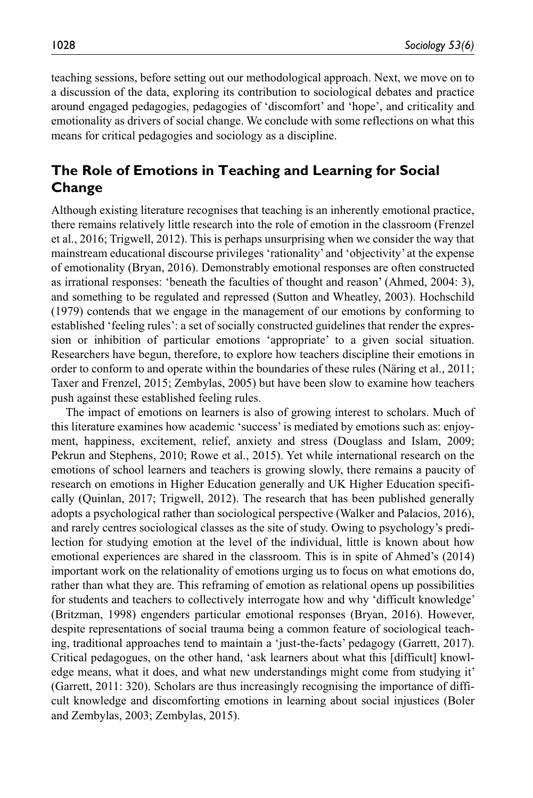teaching sessions, before setting out our methodological approach. Next, we move on to a discussion of the data, exploring its contribution to sociological debates and practice around engaged pedagogies, pedagogies of 'discomfort' and 'hope', and criticality and emotionality as drivers of social change. We conclude with some reflections on what this means for critical pedagogies and sociology as a discipline.

# **The Role of Emotions in Teaching and Learning for Social Change**

Although existing literature recognises that teaching is an inherently emotional practice, there remains relatively little research into the role of emotion in the classroom (Frenzel et al., 2016; Trigwell, 2012). This is perhaps unsurprising when we consider the way that mainstream educational discourse privileges 'rationality' and 'objectivity' at the expense of emotionality (Bryan, 2016). Demonstrably emotional responses are often constructed as irrational responses: 'beneath the faculties of thought and reason' (Ahmed, 2004: 3), and something to be regulated and repressed (Sutton and Wheatley, 2003). Hochschild (1979) contends that we engage in the management of our emotions by conforming to established 'feeling rules': a set of socially constructed guidelines that render the expression or inhibition of particular emotions 'appropriate' to a given social situation. Researchers have begun, therefore, to explore how teachers discipline their emotions in order to conform to and operate within the boundaries of these rules (Näring et al., 2011; Taxer and Frenzel, 2015; Zembylas, 2005) but have been slow to examine how teachers push against these established feeling rules.

The impact of emotions on learners is also of growing interest to scholars. Much of this literature examines how academic 'success' is mediated by emotions such as: enjoyment, happiness, excitement, relief, anxiety and stress (Douglass and Islam, 2009; Pekrun and Stephens, 2010; Rowe et al., 2015). Yet while international research on the emotions of school learners and teachers is growing slowly, there remains a paucity of research on emotions in Higher Education generally and UK Higher Education specifically (Quinlan, 2017; Trigwell, 2012). The research that has been published generally adopts a psychological rather than sociological perspective (Walker and Palacios, 2016), and rarely centres sociological classes as the site of study. Owing to psychology's predilection for studying emotion at the level of the individual, little is known about how emotional experiences are shared in the classroom. This is in spite of Ahmed's (2014) important work on the relationality of emotions urging us to focus on what emotions do, rather than what they are. This reframing of emotion as relational opens up possibilities for students and teachers to collectively interrogate how and why 'difficult knowledge' (Britzman, 1998) engenders particular emotional responses (Bryan, 2016). However, despite representations of social trauma being a common feature of sociological teaching, traditional approaches tend to maintain a 'just-the-facts' pedagogy (Garrett, 2017). Critical pedagogues, on the other hand, 'ask learners about what this [difficult] knowledge means, what it does, and what new understandings might come from studying it' (Garrett, 2011: 320). Scholars are thus increasingly recognising the importance of difficult knowledge and discomforting emotions in learning about social injustices (Boler and Zembylas, 2003; Zembylas, 2015).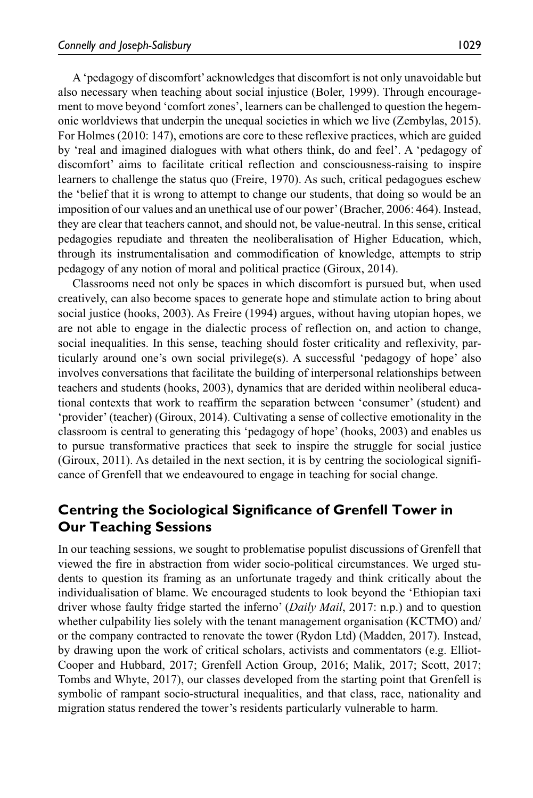A 'pedagogy of discomfort' acknowledges that discomfort is not only unavoidable but also necessary when teaching about social injustice (Boler, 1999). Through encouragement to move beyond 'comfort zones', learners can be challenged to question the hegemonic worldviews that underpin the unequal societies in which we live (Zembylas, 2015). For Holmes (2010: 147), emotions are core to these reflexive practices, which are guided by 'real and imagined dialogues with what others think, do and feel'. A 'pedagogy of discomfort' aims to facilitate critical reflection and consciousness-raising to inspire learners to challenge the status quo (Freire, 1970). As such, critical pedagogues eschew the 'belief that it is wrong to attempt to change our students, that doing so would be an imposition of our values and an unethical use of our power' (Bracher, 2006: 464). Instead, they are clear that teachers cannot, and should not, be value-neutral. In this sense, critical pedagogies repudiate and threaten the neoliberalisation of Higher Education, which, through its instrumentalisation and commodification of knowledge, attempts to strip pedagogy of any notion of moral and political practice (Giroux, 2014).

Classrooms need not only be spaces in which discomfort is pursued but, when used creatively, can also become spaces to generate hope and stimulate action to bring about social justice (hooks, 2003). As Freire (1994) argues, without having utopian hopes, we are not able to engage in the dialectic process of reflection on, and action to change, social inequalities. In this sense, teaching should foster criticality and reflexivity, particularly around one's own social privilege(s). A successful 'pedagogy of hope' also involves conversations that facilitate the building of interpersonal relationships between teachers and students (hooks, 2003), dynamics that are derided within neoliberal educational contexts that work to reaffirm the separation between 'consumer' (student) and 'provider' (teacher) (Giroux, 2014). Cultivating a sense of collective emotionality in the classroom is central to generating this 'pedagogy of hope' (hooks, 2003) and enables us to pursue transformative practices that seek to inspire the struggle for social justice (Giroux, 2011). As detailed in the next section, it is by centring the sociological significance of Grenfell that we endeavoured to engage in teaching for social change.

# **Centring the Sociological Significance of Grenfell Tower in Our Teaching Sessions**

In our teaching sessions, we sought to problematise populist discussions of Grenfell that viewed the fire in abstraction from wider socio-political circumstances. We urged students to question its framing as an unfortunate tragedy and think critically about the individualisation of blame. We encouraged students to look beyond the 'Ethiopian taxi driver whose faulty fridge started the inferno' (*Daily Mail*, 2017: n.p.) and to question whether culpability lies solely with the tenant management organisation (KCTMO) and/ or the company contracted to renovate the tower (Rydon Ltd) (Madden, 2017). Instead, by drawing upon the work of critical scholars, activists and commentators (e.g. Elliot-Cooper and Hubbard, 2017; Grenfell Action Group, 2016; Malik, 2017; Scott, 2017; Tombs and Whyte, 2017), our classes developed from the starting point that Grenfell is symbolic of rampant socio-structural inequalities, and that class, race, nationality and migration status rendered the tower's residents particularly vulnerable to harm.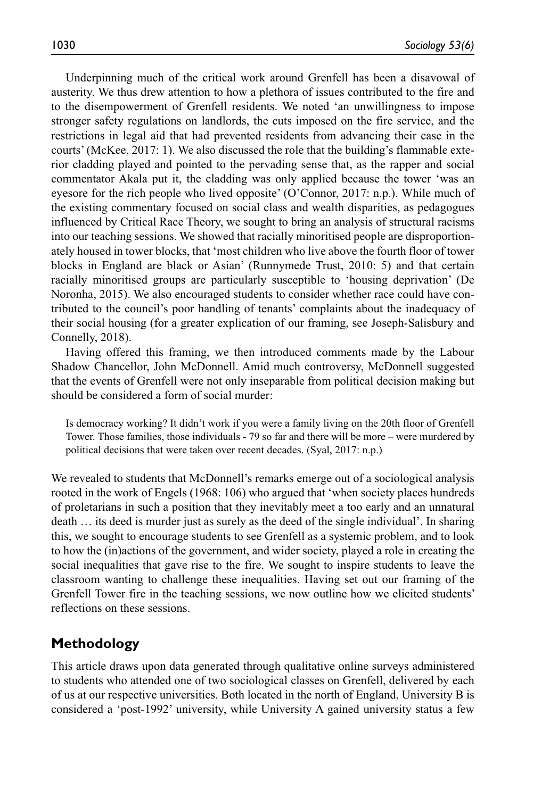Underpinning much of the critical work around Grenfell has been a disavowal of austerity. We thus drew attention to how a plethora of issues contributed to the fire and to the disempowerment of Grenfell residents. We noted 'an unwillingness to impose stronger safety regulations on landlords, the cuts imposed on the fire service, and the restrictions in legal aid that had prevented residents from advancing their case in the courts' (McKee, 2017: 1). We also discussed the role that the building's flammable exterior cladding played and pointed to the pervading sense that, as the rapper and social commentator Akala put it, the cladding was only applied because the tower 'was an eyesore for the rich people who lived opposite' (O'Connor, 2017: n.p.). While much of the existing commentary focused on social class and wealth disparities, as pedagogues influenced by Critical Race Theory, we sought to bring an analysis of structural racisms into our teaching sessions. We showed that racially minoritised people are disproportionately housed in tower blocks, that 'most children who live above the fourth floor of tower blocks in England are black or Asian' (Runnymede Trust, 2010: 5) and that certain racially minoritised groups are particularly susceptible to 'housing deprivation' (De Noronha, 2015). We also encouraged students to consider whether race could have contributed to the council's poor handling of tenants' complaints about the inadequacy of their social housing (for a greater explication of our framing, see Joseph-Salisbury and Connelly, 2018).

Having offered this framing, we then introduced comments made by the Labour Shadow Chancellor, John McDonnell. Amid much controversy, McDonnell suggested that the events of Grenfell were not only inseparable from political decision making but should be considered a form of social murder:

Is democracy working? It didn't work if you were a family living on the 20th floor of Grenfell Tower. Those families, those individuals - 79 so far and there will be more – were murdered by political decisions that were taken over recent decades. (Syal, 2017: n.p.)

We revealed to students that McDonnell's remarks emerge out of a sociological analysis rooted in the work of Engels (1968: 106) who argued that 'when society places hundreds of proletarians in such a position that they inevitably meet a too early and an unnatural death … its deed is murder just as surely as the deed of the single individual'. In sharing this, we sought to encourage students to see Grenfell as a systemic problem, and to look to how the (in)actions of the government, and wider society, played a role in creating the social inequalities that gave rise to the fire. We sought to inspire students to leave the classroom wanting to challenge these inequalities. Having set out our framing of the Grenfell Tower fire in the teaching sessions, we now outline how we elicited students' reflections on these sessions.

## **Methodology**

This article draws upon data generated through qualitative online surveys administered to students who attended one of two sociological classes on Grenfell, delivered by each of us at our respective universities. Both located in the north of England, University B is considered a 'post-1992' university, while University A gained university status a few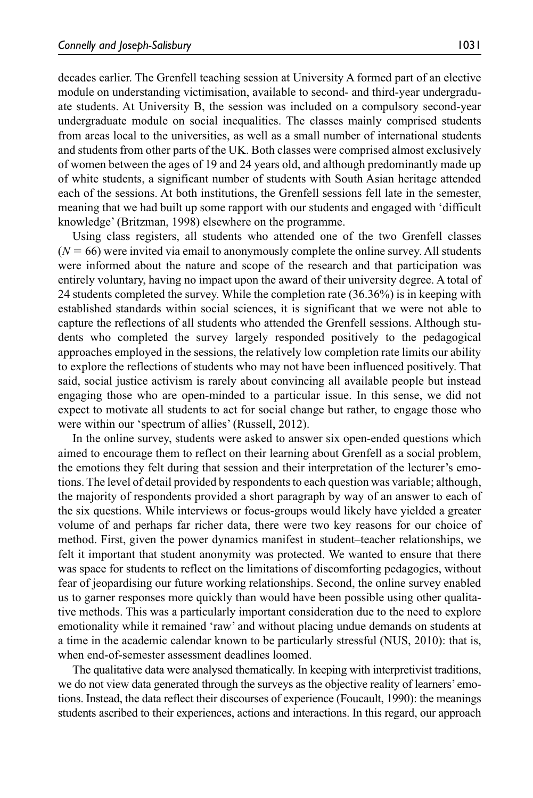decades earlier. The Grenfell teaching session at University A formed part of an elective module on understanding victimisation, available to second- and third-year undergraduate students. At University B, the session was included on a compulsory second-year undergraduate module on social inequalities. The classes mainly comprised students from areas local to the universities, as well as a small number of international students and students from other parts of the UK. Both classes were comprised almost exclusively of women between the ages of 19 and 24 years old, and although predominantly made up of white students, a significant number of students with South Asian heritage attended each of the sessions. At both institutions, the Grenfell sessions fell late in the semester, meaning that we had built up some rapport with our students and engaged with 'difficult knowledge' (Britzman, 1998) elsewhere on the programme.

Using class registers, all students who attended one of the two Grenfell classes  $(N = 66)$  were invited via email to anonymously complete the online survey. All students were informed about the nature and scope of the research and that participation was entirely voluntary, having no impact upon the award of their university degree. A total of 24 students completed the survey. While the completion rate (36.36%) is in keeping with established standards within social sciences, it is significant that we were not able to capture the reflections of all students who attended the Grenfell sessions. Although students who completed the survey largely responded positively to the pedagogical approaches employed in the sessions, the relatively low completion rate limits our ability to explore the reflections of students who may not have been influenced positively. That said, social justice activism is rarely about convincing all available people but instead engaging those who are open-minded to a particular issue. In this sense, we did not expect to motivate all students to act for social change but rather, to engage those who were within our 'spectrum of allies' (Russell, 2012).

In the online survey, students were asked to answer six open-ended questions which aimed to encourage them to reflect on their learning about Grenfell as a social problem, the emotions they felt during that session and their interpretation of the lecturer's emotions. The level of detail provided by respondents to each question was variable; although, the majority of respondents provided a short paragraph by way of an answer to each of the six questions. While interviews or focus-groups would likely have yielded a greater volume of and perhaps far richer data, there were two key reasons for our choice of method. First, given the power dynamics manifest in student–teacher relationships, we felt it important that student anonymity was protected. We wanted to ensure that there was space for students to reflect on the limitations of discomforting pedagogies, without fear of jeopardising our future working relationships. Second, the online survey enabled us to garner responses more quickly than would have been possible using other qualitative methods. This was a particularly important consideration due to the need to explore emotionality while it remained 'raw' and without placing undue demands on students at a time in the academic calendar known to be particularly stressful (NUS, 2010): that is, when end-of-semester assessment deadlines loomed.

The qualitative data were analysed thematically. In keeping with interpretivist traditions, we do not view data generated through the surveys as the objective reality of learners' emotions. Instead, the data reflect their discourses of experience (Foucault, 1990): the meanings students ascribed to their experiences, actions and interactions. In this regard, our approach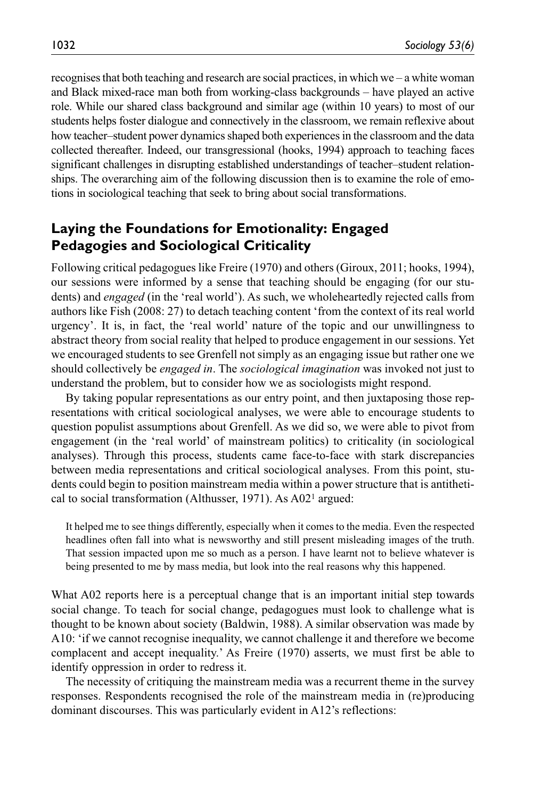recognises that both teaching and research are social practices, in which we – a white woman and Black mixed-race man both from working-class backgrounds – have played an active role. While our shared class background and similar age (within 10 years) to most of our students helps foster dialogue and connectively in the classroom, we remain reflexive about how teacher–student power dynamics shaped both experiences in the classroom and the data collected thereafter. Indeed, our transgressional (hooks, 1994) approach to teaching faces significant challenges in disrupting established understandings of teacher–student relationships. The overarching aim of the following discussion then is to examine the role of emotions in sociological teaching that seek to bring about social transformations.

# **Laying the Foundations for Emotionality: Engaged Pedagogies and Sociological Criticality**

Following critical pedagogues like Freire (1970) and others (Giroux, 2011; hooks, 1994), our sessions were informed by a sense that teaching should be engaging (for our students) and *engaged* (in the 'real world'). As such, we wholeheartedly rejected calls from authors like Fish (2008: 27) to detach teaching content 'from the context of its real world urgency'. It is, in fact, the 'real world' nature of the topic and our unwillingness to abstract theory from social reality that helped to produce engagement in our sessions. Yet we encouraged students to see Grenfell not simply as an engaging issue but rather one we should collectively be *engaged in*. The *sociological imagination* was invoked not just to understand the problem, but to consider how we as sociologists might respond.

By taking popular representations as our entry point, and then juxtaposing those representations with critical sociological analyses, we were able to encourage students to question populist assumptions about Grenfell. As we did so, we were able to pivot from engagement (in the 'real world' of mainstream politics) to criticality (in sociological analyses). Through this process, students came face-to-face with stark discrepancies between media representations and critical sociological analyses. From this point, students could begin to position mainstream media within a power structure that is antithetical to social transformation (Althusser, 1971). As A021 argued:

It helped me to see things differently, especially when it comes to the media. Even the respected headlines often fall into what is newsworthy and still present misleading images of the truth. That session impacted upon me so much as a person. I have learnt not to believe whatever is being presented to me by mass media, but look into the real reasons why this happened.

What A02 reports here is a perceptual change that is an important initial step towards social change. To teach for social change, pedagogues must look to challenge what is thought to be known about society (Baldwin, 1988). A similar observation was made by A10: 'if we cannot recognise inequality, we cannot challenge it and therefore we become complacent and accept inequality.' As Freire (1970) asserts, we must first be able to identify oppression in order to redress it.

The necessity of critiquing the mainstream media was a recurrent theme in the survey responses. Respondents recognised the role of the mainstream media in (re)producing dominant discourses. This was particularly evident in A12's reflections: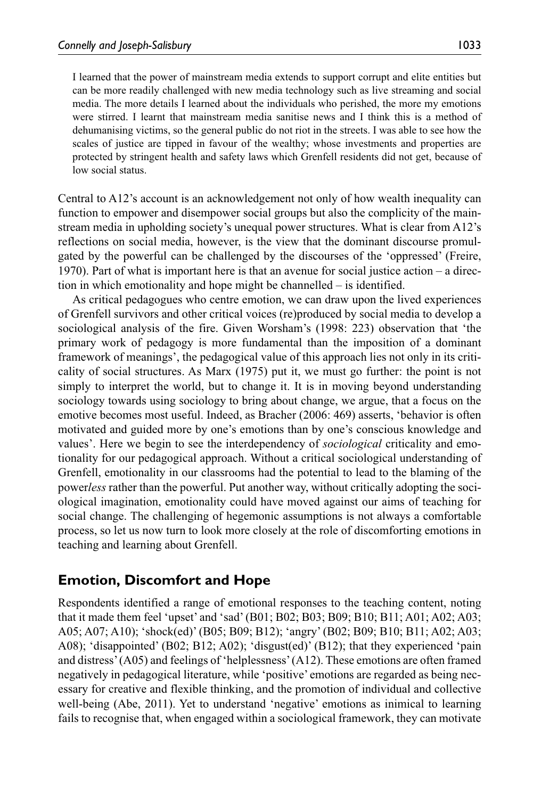I learned that the power of mainstream media extends to support corrupt and elite entities but can be more readily challenged with new media technology such as live streaming and social media. The more details I learned about the individuals who perished, the more my emotions were stirred. I learnt that mainstream media sanitise news and I think this is a method of dehumanising victims, so the general public do not riot in the streets. I was able to see how the scales of justice are tipped in favour of the wealthy; whose investments and properties are protected by stringent health and safety laws which Grenfell residents did not get, because of low social status.

Central to A12's account is an acknowledgement not only of how wealth inequality can function to empower and disempower social groups but also the complicity of the mainstream media in upholding society's unequal power structures. What is clear from A12's reflections on social media, however, is the view that the dominant discourse promulgated by the powerful can be challenged by the discourses of the 'oppressed' (Freire, 1970). Part of what is important here is that an avenue for social justice action – a direction in which emotionality and hope might be channelled – is identified.

As critical pedagogues who centre emotion, we can draw upon the lived experiences of Grenfell survivors and other critical voices (re)produced by social media to develop a sociological analysis of the fire. Given Worsham's (1998: 223) observation that 'the primary work of pedagogy is more fundamental than the imposition of a dominant framework of meanings', the pedagogical value of this approach lies not only in its criticality of social structures. As Marx (1975) put it, we must go further: the point is not simply to interpret the world, but to change it. It is in moving beyond understanding sociology towards using sociology to bring about change, we argue, that a focus on the emotive becomes most useful. Indeed, as Bracher (2006: 469) asserts, 'behavior is often motivated and guided more by one's emotions than by one's conscious knowledge and values'. Here we begin to see the interdependency of *sociological* criticality and emotionality for our pedagogical approach. Without a critical sociological understanding of Grenfell, emotionality in our classrooms had the potential to lead to the blaming of the power*less* rather than the powerful. Put another way, without critically adopting the sociological imagination, emotionality could have moved against our aims of teaching for social change. The challenging of hegemonic assumptions is not always a comfortable process, so let us now turn to look more closely at the role of discomforting emotions in teaching and learning about Grenfell.

# **Emotion, Discomfort and Hope**

Respondents identified a range of emotional responses to the teaching content, noting that it made them feel 'upset' and 'sad' (B01; B02; B03; B09; B10; B11; A01; A02; A03; A05; A07; A10); 'shock(ed)' (B05; B09; B12); 'angry' (B02; B09; B10; B11; A02; A03; A08); 'disappointed' (B02; B12; A02); 'disgust(ed)' (B12); that they experienced 'pain and distress' (A05) and feelings of 'helplessness' (A12). These emotions are often framed negatively in pedagogical literature, while 'positive' emotions are regarded as being necessary for creative and flexible thinking, and the promotion of individual and collective well-being (Abe, 2011). Yet to understand 'negative' emotions as inimical to learning fails to recognise that, when engaged within a sociological framework, they can motivate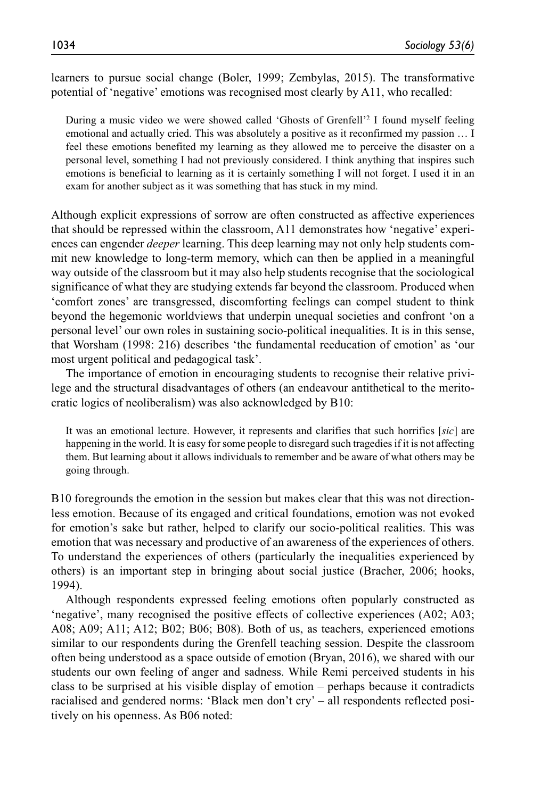learners to pursue social change (Boler, 1999; Zembylas, 2015). The transformative potential of 'negative' emotions was recognised most clearly by A11, who recalled:

During a music video we were showed called 'Ghosts of Grenfell'2 I found myself feeling emotional and actually cried. This was absolutely a positive as it reconfirmed my passion … I feel these emotions benefited my learning as they allowed me to perceive the disaster on a personal level, something I had not previously considered. I think anything that inspires such emotions is beneficial to learning as it is certainly something I will not forget. I used it in an exam for another subject as it was something that has stuck in my mind.

Although explicit expressions of sorrow are often constructed as affective experiences that should be repressed within the classroom, A11 demonstrates how 'negative' experiences can engender *deeper* learning. This deep learning may not only help students commit new knowledge to long-term memory, which can then be applied in a meaningful way outside of the classroom but it may also help students recognise that the sociological significance of what they are studying extends far beyond the classroom. Produced when 'comfort zones' are transgressed, discomforting feelings can compel student to think beyond the hegemonic worldviews that underpin unequal societies and confront 'on a personal level' our own roles in sustaining socio-political inequalities. It is in this sense, that Worsham (1998: 216) describes 'the fundamental reeducation of emotion' as 'our most urgent political and pedagogical task'.

The importance of emotion in encouraging students to recognise their relative privilege and the structural disadvantages of others (an endeavour antithetical to the meritocratic logics of neoliberalism) was also acknowledged by B10:

It was an emotional lecture. However, it represents and clarifies that such horrifics [*sic*] are happening in the world. It is easy for some people to disregard such tragedies if it is not affecting them. But learning about it allows individuals to remember and be aware of what others may be going through.

B10 foregrounds the emotion in the session but makes clear that this was not directionless emotion. Because of its engaged and critical foundations, emotion was not evoked for emotion's sake but rather, helped to clarify our socio-political realities. This was emotion that was necessary and productive of an awareness of the experiences of others. To understand the experiences of others (particularly the inequalities experienced by others) is an important step in bringing about social justice (Bracher, 2006; hooks, 1994).

Although respondents expressed feeling emotions often popularly constructed as 'negative', many recognised the positive effects of collective experiences (A02; A03; A08; A09; A11; A12; B02; B06; B08). Both of us, as teachers, experienced emotions similar to our respondents during the Grenfell teaching session. Despite the classroom often being understood as a space outside of emotion (Bryan, 2016), we shared with our students our own feeling of anger and sadness. While Remi perceived students in his class to be surprised at his visible display of emotion – perhaps because it contradicts racialised and gendered norms: 'Black men don't cry' – all respondents reflected positively on his openness. As B06 noted: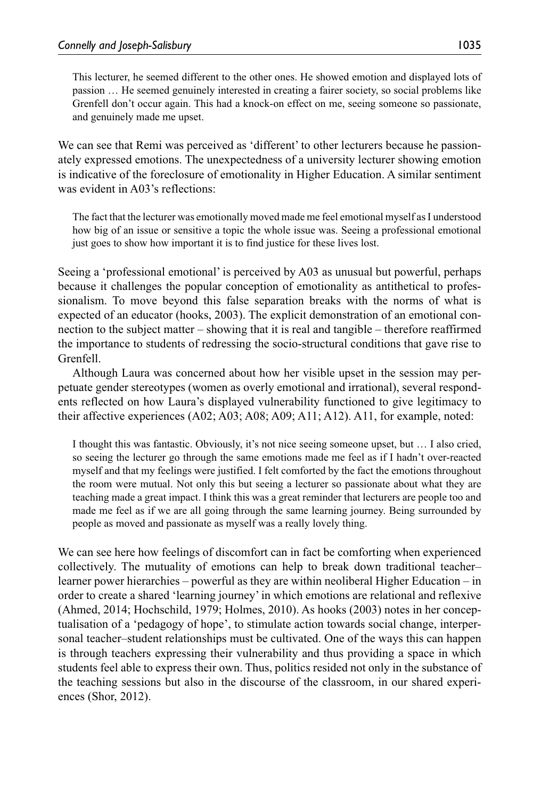This lecturer, he seemed different to the other ones. He showed emotion and displayed lots of passion … He seemed genuinely interested in creating a fairer society, so social problems like Grenfell don't occur again. This had a knock-on effect on me, seeing someone so passionate, and genuinely made me upset.

We can see that Remi was perceived as 'different' to other lecturers because he passionately expressed emotions. The unexpectedness of a university lecturer showing emotion is indicative of the foreclosure of emotionality in Higher Education. A similar sentiment was evident in A03's reflections:

The fact that the lecturer was emotionally moved made me feel emotional myself as I understood how big of an issue or sensitive a topic the whole issue was. Seeing a professional emotional just goes to show how important it is to find justice for these lives lost.

Seeing a 'professional emotional' is perceived by A03 as unusual but powerful, perhaps because it challenges the popular conception of emotionality as antithetical to professionalism. To move beyond this false separation breaks with the norms of what is expected of an educator (hooks, 2003). The explicit demonstration of an emotional connection to the subject matter – showing that it is real and tangible – therefore reaffirmed the importance to students of redressing the socio-structural conditions that gave rise to Grenfell.

Although Laura was concerned about how her visible upset in the session may perpetuate gender stereotypes (women as overly emotional and irrational), several respondents reflected on how Laura's displayed vulnerability functioned to give legitimacy to their affective experiences (A02; A03; A08; A09; A11; A12). A11, for example, noted:

I thought this was fantastic. Obviously, it's not nice seeing someone upset, but … I also cried, so seeing the lecturer go through the same emotions made me feel as if I hadn't over-reacted myself and that my feelings were justified. I felt comforted by the fact the emotions throughout the room were mutual. Not only this but seeing a lecturer so passionate about what they are teaching made a great impact. I think this was a great reminder that lecturers are people too and made me feel as if we are all going through the same learning journey. Being surrounded by people as moved and passionate as myself was a really lovely thing.

We can see here how feelings of discomfort can in fact be comforting when experienced collectively. The mutuality of emotions can help to break down traditional teacher– learner power hierarchies – powerful as they are within neoliberal Higher Education – in order to create a shared 'learning journey' in which emotions are relational and reflexive (Ahmed, 2014; Hochschild, 1979; Holmes, 2010). As hooks (2003) notes in her conceptualisation of a 'pedagogy of hope', to stimulate action towards social change, interpersonal teacher–student relationships must be cultivated. One of the ways this can happen is through teachers expressing their vulnerability and thus providing a space in which students feel able to express their own. Thus, politics resided not only in the substance of the teaching sessions but also in the discourse of the classroom, in our shared experiences (Shor, 2012).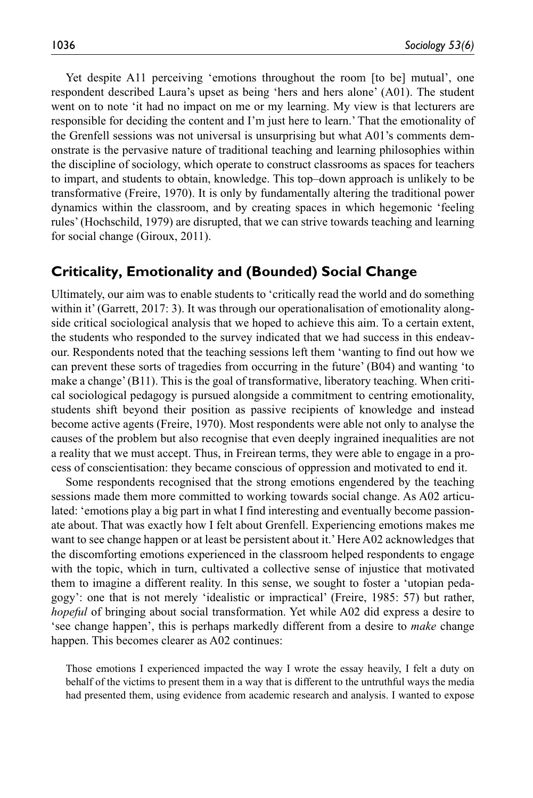Yet despite A11 perceiving 'emotions throughout the room [to be] mutual', one respondent described Laura's upset as being 'hers and hers alone' (A01). The student went on to note 'it had no impact on me or my learning. My view is that lecturers are responsible for deciding the content and I'm just here to learn.' That the emotionality of the Grenfell sessions was not universal is unsurprising but what A01's comments demonstrate is the pervasive nature of traditional teaching and learning philosophies within the discipline of sociology, which operate to construct classrooms as spaces for teachers to impart, and students to obtain, knowledge. This top–down approach is unlikely to be transformative (Freire, 1970). It is only by fundamentally altering the traditional power dynamics within the classroom, and by creating spaces in which hegemonic 'feeling rules' (Hochschild, 1979) are disrupted, that we can strive towards teaching and learning for social change (Giroux, 2011).

## **Criticality, Emotionality and (Bounded) Social Change**

Ultimately, our aim was to enable students to 'critically read the world and do something within it' (Garrett, 2017: 3). It was through our operationalisation of emotionality alongside critical sociological analysis that we hoped to achieve this aim. To a certain extent, the students who responded to the survey indicated that we had success in this endeavour. Respondents noted that the teaching sessions left them 'wanting to find out how we can prevent these sorts of tragedies from occurring in the future' (B04) and wanting 'to make a change' (B11). This is the goal of transformative, liberatory teaching. When critical sociological pedagogy is pursued alongside a commitment to centring emotionality, students shift beyond their position as passive recipients of knowledge and instead become active agents (Freire, 1970). Most respondents were able not only to analyse the causes of the problem but also recognise that even deeply ingrained inequalities are not a reality that we must accept. Thus, in Freirean terms, they were able to engage in a process of conscientisation: they became conscious of oppression and motivated to end it.

Some respondents recognised that the strong emotions engendered by the teaching sessions made them more committed to working towards social change. As A02 articulated: 'emotions play a big part in what I find interesting and eventually become passionate about. That was exactly how I felt about Grenfell. Experiencing emotions makes me want to see change happen or at least be persistent about it.' Here A02 acknowledges that the discomforting emotions experienced in the classroom helped respondents to engage with the topic, which in turn, cultivated a collective sense of injustice that motivated them to imagine a different reality. In this sense, we sought to foster a 'utopian pedagogy': one that is not merely 'idealistic or impractical' (Freire, 1985: 57) but rather, *hopeful* of bringing about social transformation. Yet while A02 did express a desire to 'see change happen', this is perhaps markedly different from a desire to *make* change happen. This becomes clearer as A02 continues:

Those emotions I experienced impacted the way I wrote the essay heavily, I felt a duty on behalf of the victims to present them in a way that is different to the untruthful ways the media had presented them, using evidence from academic research and analysis. I wanted to expose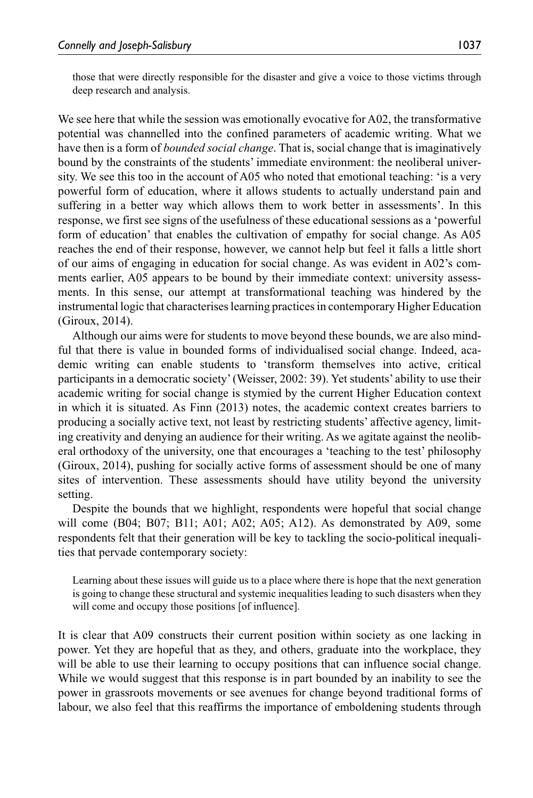those that were directly responsible for the disaster and give a voice to those victims through deep research and analysis.

We see here that while the session was emotionally evocative for A02, the transformative potential was channelled into the confined parameters of academic writing. What we have then is a form of *bounded social change*. That is, social change that is imaginatively bound by the constraints of the students' immediate environment: the neoliberal university. We see this too in the account of A05 who noted that emotional teaching: 'is a very powerful form of education, where it allows students to actually understand pain and suffering in a better way which allows them to work better in assessments'. In this response, we first see signs of the usefulness of these educational sessions as a 'powerful form of education' that enables the cultivation of empathy for social change. As A05 reaches the end of their response, however, we cannot help but feel it falls a little short of our aims of engaging in education for social change. As was evident in A02's comments earlier, A05 appears to be bound by their immediate context: university assessments. In this sense, our attempt at transformational teaching was hindered by the instrumental logic that characterises learning practices in contemporary Higher Education (Giroux, 2014).

Although our aims were for students to move beyond these bounds, we are also mindful that there is value in bounded forms of individualised social change. Indeed, academic writing can enable students to 'transform themselves into active, critical participants in a democratic society' (Weisser, 2002: 39). Yet students' ability to use their academic writing for social change is stymied by the current Higher Education context in which it is situated. As Finn (2013) notes, the academic context creates barriers to producing a socially active text, not least by restricting students' affective agency, limiting creativity and denying an audience for their writing. As we agitate against the neoliberal orthodoxy of the university, one that encourages a 'teaching to the test' philosophy (Giroux, 2014), pushing for socially active forms of assessment should be one of many sites of intervention. These assessments should have utility beyond the university setting.

Despite the bounds that we highlight, respondents were hopeful that social change will come (B04; B07; B11; A01; A02; A05; A12). As demonstrated by A09, some respondents felt that their generation will be key to tackling the socio-political inequalities that pervade contemporary society:

Learning about these issues will guide us to a place where there is hope that the next generation is going to change these structural and systemic inequalities leading to such disasters when they will come and occupy those positions [of influence].

It is clear that A09 constructs their current position within society as one lacking in power. Yet they are hopeful that as they, and others, graduate into the workplace, they will be able to use their learning to occupy positions that can influence social change. While we would suggest that this response is in part bounded by an inability to see the power in grassroots movements or see avenues for change beyond traditional forms of labour, we also feel that this reaffirms the importance of emboldening students through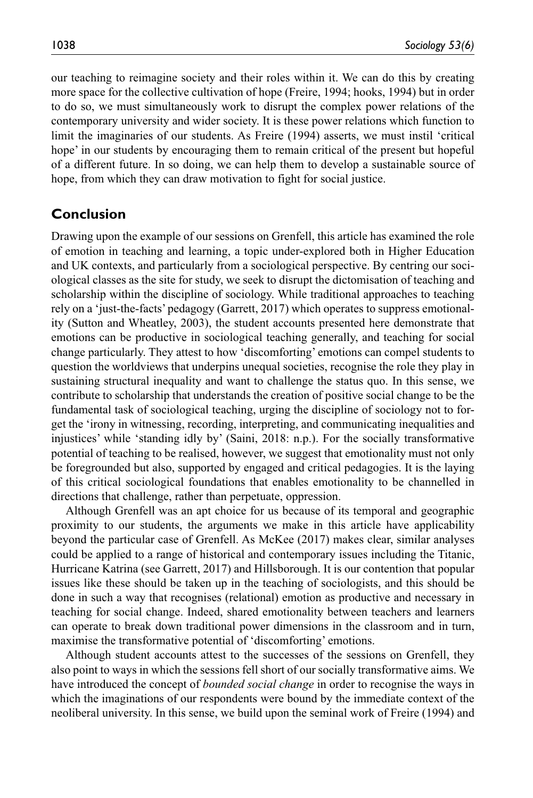our teaching to reimagine society and their roles within it. We can do this by creating more space for the collective cultivation of hope (Freire, 1994; hooks, 1994) but in order to do so, we must simultaneously work to disrupt the complex power relations of the contemporary university and wider society. It is these power relations which function to limit the imaginaries of our students. As Freire (1994) asserts, we must instil 'critical hope' in our students by encouraging them to remain critical of the present but hopeful of a different future. In so doing, we can help them to develop a sustainable source of hope, from which they can draw motivation to fight for social justice.

#### **Conclusion**

Drawing upon the example of our sessions on Grenfell, this article has examined the role of emotion in teaching and learning, a topic under-explored both in Higher Education and UK contexts, and particularly from a sociological perspective. By centring our sociological classes as the site for study, we seek to disrupt the dictomisation of teaching and scholarship within the discipline of sociology. While traditional approaches to teaching rely on a 'just-the-facts' pedagogy (Garrett, 2017) which operates to suppress emotionality (Sutton and Wheatley, 2003), the student accounts presented here demonstrate that emotions can be productive in sociological teaching generally, and teaching for social change particularly. They attest to how 'discomforting' emotions can compel students to question the worldviews that underpins unequal societies, recognise the role they play in sustaining structural inequality and want to challenge the status quo. In this sense, we contribute to scholarship that understands the creation of positive social change to be the fundamental task of sociological teaching, urging the discipline of sociology not to forget the 'irony in witnessing, recording, interpreting, and communicating inequalities and injustices' while 'standing idly by' (Saini, 2018: n.p.). For the socially transformative potential of teaching to be realised, however, we suggest that emotionality must not only be foregrounded but also, supported by engaged and critical pedagogies. It is the laying of this critical sociological foundations that enables emotionality to be channelled in directions that challenge, rather than perpetuate, oppression.

Although Grenfell was an apt choice for us because of its temporal and geographic proximity to our students, the arguments we make in this article have applicability beyond the particular case of Grenfell. As McKee (2017) makes clear, similar analyses could be applied to a range of historical and contemporary issues including the Titanic, Hurricane Katrina (see Garrett, 2017) and Hillsborough. It is our contention that popular issues like these should be taken up in the teaching of sociologists, and this should be done in such a way that recognises (relational) emotion as productive and necessary in teaching for social change. Indeed, shared emotionality between teachers and learners can operate to break down traditional power dimensions in the classroom and in turn, maximise the transformative potential of 'discomforting' emotions.

Although student accounts attest to the successes of the sessions on Grenfell, they also point to ways in which the sessions fell short of our socially transformative aims. We have introduced the concept of *bounded social change* in order to recognise the ways in which the imaginations of our respondents were bound by the immediate context of the neoliberal university. In this sense, we build upon the seminal work of Freire (1994) and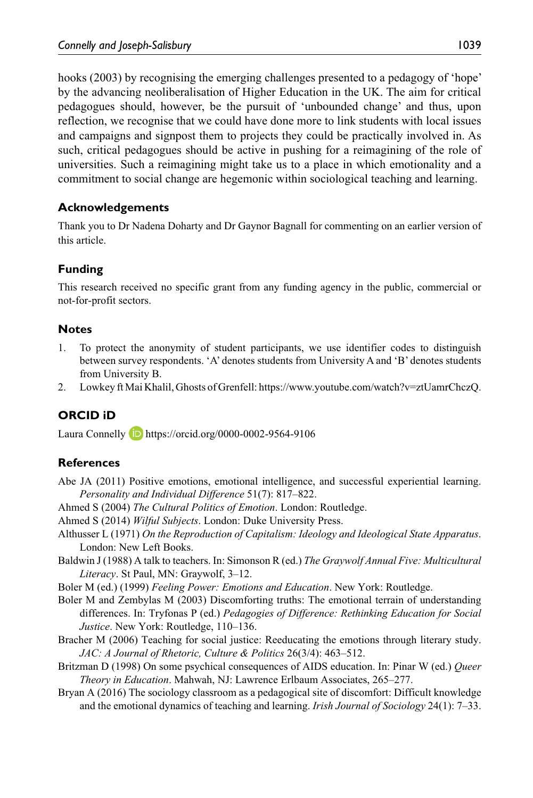hooks (2003) by recognising the emerging challenges presented to a pedagogy of 'hope' by the advancing neoliberalisation of Higher Education in the UK. The aim for critical pedagogues should, however, be the pursuit of 'unbounded change' and thus, upon reflection, we recognise that we could have done more to link students with local issues and campaigns and signpost them to projects they could be practically involved in. As such, critical pedagogues should be active in pushing for a reimagining of the role of universities. Such a reimagining might take us to a place in which emotionality and a commitment to social change are hegemonic within sociological teaching and learning.

#### **Acknowledgements**

Thank you to Dr Nadena Doharty and Dr Gaynor Bagnall for commenting on an earlier version of this article.

## **Funding**

This research received no specific grant from any funding agency in the public, commercial or not-for-profit sectors.

#### **Notes**

- 1. To protect the anonymity of student participants, we use identifier codes to distinguish between survey respondents. 'A' denotes students from University A and 'B' denotes students from University B.
- 2. Lowkey ft Mai Khalil, Ghosts of Grenfell:<https://www.youtube.com/watch?v=ztUamrChczQ>.

## **ORCID iD**

Laura Connelly **D** <https://orcid.org/0000-0002-9564-9106>

#### **References**

- Abe JA (2011) Positive emotions, emotional intelligence, and successful experiential learning. *Personality and Individual Difference* 51(7): 817–822.
- Ahmed S (2004) *The Cultural Politics of Emotion*. London: Routledge.
- Ahmed S (2014) *Wilful Subjects*. London: Duke University Press.
- Althusser L (1971) *On the Reproduction of Capitalism: Ideology and Ideological State Apparatus*. London: New Left Books.
- Baldwin J (1988) A talk to teachers. In: Simonson R (ed.) *The Graywolf Annual Five: Multicultural Literacy*. St Paul, MN: Graywolf, 3–12.
- Boler M (ed.) (1999) *Feeling Power: Emotions and Education*. New York: Routledge.
- Boler M and Zembylas M (2003) Discomforting truths: The emotional terrain of understanding differences. In: Tryfonas P (ed.) *Pedagogies of Difference: Rethinking Education for Social Justice*. New York: Routledge, 110–136.
- Bracher M (2006) Teaching for social justice: Reeducating the emotions through literary study. *JAC: A Journal of Rhetoric, Culture & Politics* 26(3/4): 463–512.
- Britzman D (1998) On some psychical consequences of AIDS education. In: Pinar W (ed.) *Queer Theory in Education*. Mahwah, NJ: Lawrence Erlbaum Associates, 265–277.
- Bryan A (2016) The sociology classroom as a pedagogical site of discomfort: Difficult knowledge and the emotional dynamics of teaching and learning. *Irish Journal of Sociology* 24(1): 7–33.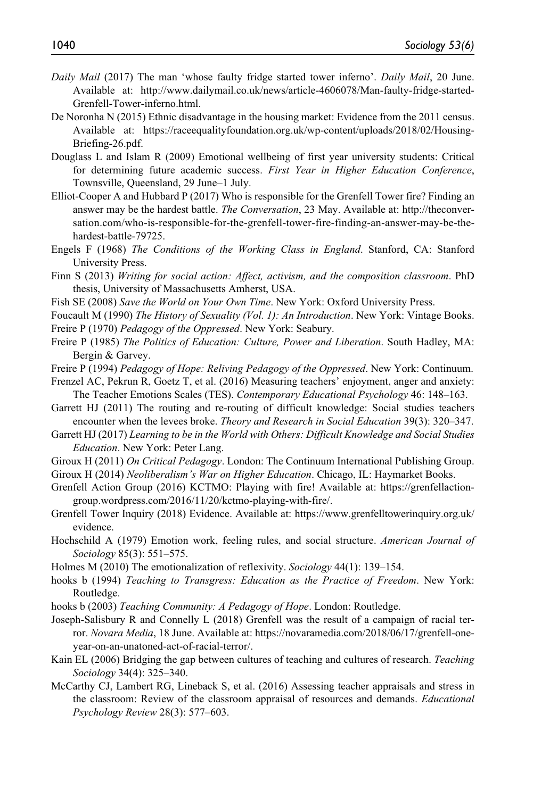- *Daily Mail* (2017) The man 'whose faulty fridge started tower inferno'. *Daily Mail*, 20 June. Available at: [http://www.dailymail.co.uk/news/article-4606078/Man-faulty-fridge-started-](http://www.dailymail.co.uk/news/article-4606078/Man-faulty-fridge-started-Grenfell-Tower-inferno.html)[Grenfell-Tower-inferno.html.](http://www.dailymail.co.uk/news/article-4606078/Man-faulty-fridge-started-Grenfell-Tower-inferno.html)
- De Noronha N (2015) Ethnic disadvantage in the housing market: Evidence from the 2011 census. Available at: [https://raceequalityfoundation.org.uk/wp-content/uploads/2018/02/Housing-](https://raceequalityfoundation.org.uk/wp-content/uploads/2018/02/Housing-Briefing-26.pdf)[Briefing-26.pdf.](https://raceequalityfoundation.org.uk/wp-content/uploads/2018/02/Housing-Briefing-26.pdf)
- Douglass L and Islam R (2009) Emotional wellbeing of first year university students: Critical for determining future academic success. *First Year in Higher Education Conference*, Townsville, Queensland, 29 June–1 July.
- Elliot-Cooper A and Hubbard P (2017) Who is responsible for the Grenfell Tower fire? Finding an answer may be the hardest battle. *The Conversation*, 23 May. Available at: [http://theconver](http://theconversation.com/who-is-responsible-for-the-grenfell-tower-fire-finding-an-answer-may-be-the-hardest-battle-79725)[sation.com/who-is-responsible-for-the-grenfell-tower-fire-finding-an-answer-may-be-the](http://theconversation.com/who-is-responsible-for-the-grenfell-tower-fire-finding-an-answer-may-be-the-hardest-battle-79725)[hardest-battle-79725](http://theconversation.com/who-is-responsible-for-the-grenfell-tower-fire-finding-an-answer-may-be-the-hardest-battle-79725).
- Engels F (1968) *The Conditions of the Working Class in England*. Stanford, CA: Stanford University Press.
- Finn S (2013) *Writing for social action: Affect, activism, and the composition classroom*. PhD thesis, University of Massachusetts Amherst, USA.
- Fish SE (2008) *Save the World on Your Own Time*. New York: Oxford University Press.
- Foucault M (1990) *The History of Sexuality (Vol. 1): An Introduction*. New York: Vintage Books. Freire P (1970) *Pedagogy of the Oppressed*. New York: Seabury.
- Freire P (1985) *The Politics of Education: Culture, Power and Liberation*. South Hadley, MA: Bergin & Garvey.
- Freire P (1994) *Pedagogy of Hope: Reliving Pedagogy of the Oppressed*. New York: Continuum.
- Frenzel AC, Pekrun R, Goetz T, et al. (2016) Measuring teachers' enjoyment, anger and anxiety: The Teacher Emotions Scales (TES). *Contemporary Educational Psychology* 46: 148–163.
- Garrett HJ (2011) The routing and re-routing of difficult knowledge: Social studies teachers encounter when the levees broke. *Theory and Research in Social Education* 39(3): 320–347.
- Garrett HJ (2017) *Learning to be in the World with Others: Difficult Knowledge and Social Studies Education*. New York: Peter Lang.
- Giroux H (2011) *On Critical Pedagogy*. London: The Continuum International Publishing Group.

Giroux H (2014) *Neoliberalism's War on Higher Education*. Chicago, IL: Haymarket Books.

- Grenfell Action Group (2016) KCTMO: Playing with fire! Available at: [https://grenfellaction](https://grenfellactiongroup.wordpress.com/2016/11/20/kctmo-playing-with-fire/)[group.wordpress.com/2016/11/20/kctmo-playing-with-fire/.](https://grenfellactiongroup.wordpress.com/2016/11/20/kctmo-playing-with-fire/)
- Grenfell Tower Inquiry (2018) Evidence. Available at: [https://www.grenfelltowerinquiry.org.uk/](https://www.grenfelltowerinquiry.org.uk/evidence) [evidence.](https://www.grenfelltowerinquiry.org.uk/evidence)
- Hochschild A (1979) Emotion work, feeling rules, and social structure. *American Journal of Sociology* 85(3): 551–575.
- Holmes M (2010) The emotionalization of reflexivity. *Sociology* 44(1): 139–154.
- hooks b (1994) *Teaching to Transgress: Education as the Practice of Freedom*. New York: Routledge.
- hooks b (2003) *Teaching Community: A Pedagogy of Hope*. London: Routledge.
- Joseph-Salisbury R and Connelly L (2018) Grenfell was the result of a campaign of racial terror. *Novara Media*, 18 June. Available at: [https://novaramedia.com/2018/06/17/grenfell-one](https://novaramedia.com/2018/06/17/grenfell-one-year-on-an-unatoned-act-of-racial-terror/)[year-on-an-unatoned-act-of-racial-terror/.](https://novaramedia.com/2018/06/17/grenfell-one-year-on-an-unatoned-act-of-racial-terror/)
- Kain EL (2006) Bridging the gap between cultures of teaching and cultures of research. *Teaching Sociology* 34(4): 325–340.
- McCarthy CJ, Lambert RG, Lineback S, et al. (2016) Assessing teacher appraisals and stress in the classroom: Review of the classroom appraisal of resources and demands. *Educational Psychology Review* 28(3): 577–603.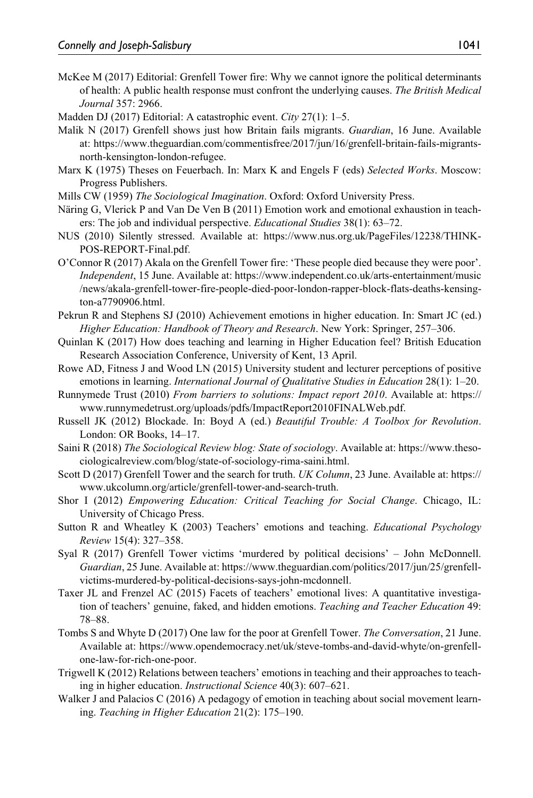McKee M (2017) Editorial: Grenfell Tower fire: Why we cannot ignore the political determinants of health: A public health response must confront the underlying causes. *The British Medical Journal* 357: 2966.

Madden DJ (2017) Editorial: A catastrophic event. *City* 27(1): 1–5.

- Malik N (2017) Grenfell shows just how Britain fails migrants. *Guardian*, 16 June. Available at: [https://www.theguardian.com/commentisfree/2017/jun/16/grenfell-britain-fails-migrants](https://www.theguardian.com/commentisfree/2017/jun/16/grenfell-britain-fails-migrants-north-kensington-london-refugee)[north-kensington-london-refugee.](https://www.theguardian.com/commentisfree/2017/jun/16/grenfell-britain-fails-migrants-north-kensington-london-refugee)
- Marx K (1975) Theses on Feuerbach. In: Marx K and Engels F (eds) *Selected Works*. Moscow: Progress Publishers.
- Mills CW (1959) *The Sociological Imagination*. Oxford: Oxford University Press.
- Näring G, Vlerick P and Van De Ven B (2011) Emotion work and emotional exhaustion in teachers: The job and individual perspective. *Educational Studies* 38(1): 63–72.
- NUS (2010) Silently stressed. Available at: [https://www.nus.org.uk/PageFiles/12238/THINK-](https://www.nus.org.uk/PageFiles/12238/THINK-POS-REPORT-Final.pdf)[POS-REPORT-Final.pdf.](https://www.nus.org.uk/PageFiles/12238/THINK-POS-REPORT-Final.pdf)
- O'Connor R (2017) Akala on the Grenfell Tower fire: 'These people died because they were poor'. *Independent*, 15 June. Available at: [https://www.independent.co.uk/arts-entertainment/music](https://www.independent.co.uk/arts-entertainment/music
/news/akala-grenfell-tower-fire-people-died-poor-london-rapper-block-flats-deaths-kensington-a7790906.html) [/news/akala-grenfell-tower-fire-people-died-poor-london-rapper-block-flats-deaths-kensing](https://www.independent.co.uk/arts-entertainment/music
/news/akala-grenfell-tower-fire-people-died-poor-london-rapper-block-flats-deaths-kensington-a7790906.html)[ton-a7790906.html.](https://www.independent.co.uk/arts-entertainment/music
/news/akala-grenfell-tower-fire-people-died-poor-london-rapper-block-flats-deaths-kensington-a7790906.html)
- Pekrun R and Stephens SJ (2010) Achievement emotions in higher education. In: Smart JC (ed.) *Higher Education: Handbook of Theory and Research*. New York: Springer, 257–306.
- Quinlan K (2017) How does teaching and learning in Higher Education feel? British Education Research Association Conference, University of Kent, 13 April.
- Rowe AD, Fitness J and Wood LN (2015) University student and lecturer perceptions of positive emotions in learning. *International Journal of Qualitative Studies in Education* 28(1): 1–20.
- Runnymede Trust (2010) *From barriers to solutions: Impact report 2010*. Available at: [https://](https://www.runnymedetrust.org/uploads/pdfs/ImpactReport2010FINALWeb.pdf) [www.runnymedetrust.org/uploads/pdfs/ImpactReport2010FINALWeb.pdf.](https://www.runnymedetrust.org/uploads/pdfs/ImpactReport2010FINALWeb.pdf)
- Russell JK (2012) Blockade. In: Boyd A (ed.) *Beautiful Trouble: A Toolbox for Revolution*. London: OR Books, 14–17.
- Saini R (2018) *The Sociological Review blog: State of sociology*. Available at: [https://www.theso](https://www.thesociologicalreview.com/blog/state-of-sociology-rima-saini.html)[ciologicalreview.com/blog/state-of-sociology-rima-saini.html](https://www.thesociologicalreview.com/blog/state-of-sociology-rima-saini.html).
- Scott D (2017) Grenfell Tower and the search for truth. *UK Column*, 23 June. Available at: [https://](https://www.ukcolumn.org/article/grenfell-tower-and-search-truth) [www.ukcolumn.org/article/grenfell-tower-and-search-truth](https://www.ukcolumn.org/article/grenfell-tower-and-search-truth).
- Shor I (2012) *Empowering Education: Critical Teaching for Social Change*. Chicago, IL: University of Chicago Press.
- Sutton R and Wheatley K (2003) Teachers' emotions and teaching. *Educational Psychology Review* 15(4): 327–358.
- Syal R (2017) Grenfell Tower victims 'murdered by political decisions' John McDonnell. *Guardian*, 25 June. Available at: [https://www.theguardian.com/politics/2017/jun/25/grenfell](https://www.theguardian.com/politics/2017/jun/25/grenfell-victims-murdered-by-political-decisions-says-john-mcdonnell)[victims-murdered-by-political-decisions-says-john-mcdonnell.](https://www.theguardian.com/politics/2017/jun/25/grenfell-victims-murdered-by-political-decisions-says-john-mcdonnell)
- Taxer JL and Frenzel AC (2015) Facets of teachers' emotional lives: A quantitative investigation of teachers' genuine, faked, and hidden emotions. *Teaching and Teacher Education* 49: 78–88.
- Tombs S and Whyte D (2017) One law for the poor at Grenfell Tower. *The Conversation*, 21 June. Available at: [https://www.opendemocracy.net/uk/steve-tombs-and-david-whyte/on-grenfell](https://www.opendemocracy.net/uk/steve-tombs-and-david-whyte/on-grenfell-one-law-for-rich-one-poor)[one-law-for-rich-one-poor](https://www.opendemocracy.net/uk/steve-tombs-and-david-whyte/on-grenfell-one-law-for-rich-one-poor).
- Trigwell K (2012) Relations between teachers' emotions in teaching and their approaches to teaching in higher education. *Instructional Science* 40(3): 607–621.
- Walker J and Palacios C (2016) A pedagogy of emotion in teaching about social movement learning. *Teaching in Higher Education* 21(2): 175–190.